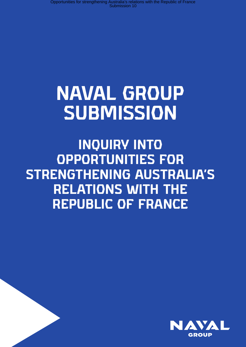# **NAVAL GROUP SUBMISSION**

**INQUIRY INTO OPPORTUNITIES FOR STRENGTHENING AUSTRALIA'S RELATIONS WITH THE REPUBLIC OF FRANCE**

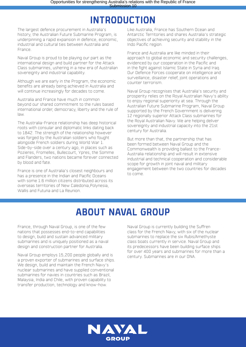### **INTRODUCTION**

The largest defence procurement in Australia's history, the Australian Future Submarine Program, is underpinning a rapid expansion in defence, economic, industrial and cultural ties between Australia and France.

Naval Group is proud to be playing our part as the international design and build partner for the Attack Class submarines, ushering in a new era of Australian sovereignty and industrial capability.

Although we are early in the Program, the economic benefits are already being achieved in Australia and will continue increasingly for decades to come.

Australia and France have much in common beyond our shared commitment to the rules based international order, democracy, liberty and the rule of law.

The Australia-France relationship has deep historical roots with consular and diplomatic links dating back to 1842. The strength of the relationship however was forged by the Australian soldiers who fought alongside French soldiers during World War 1. Side-by-side over a century ago, in places such as Pozieres, Fromelles, Bullecourt, Ypres, the Somme and Flanders, two nations became forever connected by blood and fate.

France is one of Australia's closest neighbours and has a presence in the Indian and Pacific Oceans with some 1.6 million citizens distributed across its overseas territories of New Caledonia,Polynesia, Wallis and Futuna and La Reunion.

Like Australia, France has Southern Ocean and Antarctic Territories and shares Australia's strategic objectives of achieving security and stability in the Indo Pacific region.

France and Australia are like minded in their approach to global economic and security challenges, evidenced by our cooperation in the Pacific and in the fight against Islamic State in Syria and Iraq. Our Defence Forces cooperate on intelligence and surveillance, disaster relief, joint operations and counter terrorism.

Naval Group recognises that Australia's security and prosperity relies on the Royal Australian Navy's ability to enjoy regional superiority at sea. Through the Australian Future Submarine Program, Naval Group supported by the French Government is delivering 12 regionally superior Attack Class submarines for the Royal Australian Navy. We are helping deliver sovereignty and industrial capacity into the 21st century for Australia.

But more than that, the partnership that has been formed between Naval Group and the Commonwealth is providing ballast to the France-Australia relationship and will result in extensive industrial and technical cooperation and considerable scope for growth in joint naval and military engagement between the two countries for decades to come.

## **ABOUT NAVAL GROUP**

France, through Naval Group, is one of the few nations that possesses end-to-end capabilities to design, build and sustain advanced military submarines and is uniquely positioned as a naval design and construction partner for Australia.

Naval Group employs 15,200 people globally and is a proven exporter of submarines and surface ships. We design, build and maintain the French Navy's nuclear submarines and have supplied conventional submarines for navies in countries such as Brazil, Malaysia, India and Chile, with proven capability to transfer production, technology and know-how.

Naval Group is currently building the Suffren class for the French Navy, with six of the nuclear submarines to replace the six Rubis/Amethyste class boats currently in service. Naval Group and its predecessors have been building surface ships for over 400 years and submarines for more than a century. Submarines are in our DNA.

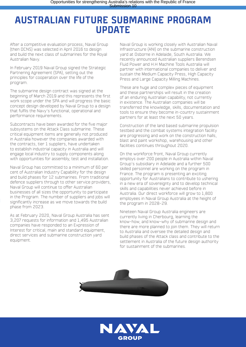### **AUSTRALIAN FUTURE SUBMARINE PROGRAM UPDATE**

After a competitive evaluation process, Naval Group (then DCNS) was selected in April 2016 to design and build the next class of submarines for the Royal Australian Navy.

In February 2019 Naval Group signed the Strategic Partnering Agreement (SPA), setting out the principles for cooperation over the life of the program.

The submarine design contract was signed at the beginning of March 2019 and this represents the first work scope under the SPA and will progress the basic concept design developed by Naval Group to a design that fulfils the Navy's functional, operational and performance requirements.

Subcontracts have been awarded for the five major subsystems on the Attack Class submarine. These critical equipment items are generally not produced in Australia however the companies awarded with the contracts, tier 1 suppliers, have undertaken to establish industrial capacity in Australia and will engage local industry to supply components along with opportunities for assembly, test and installation.

Naval Group has committed to a minimum of 60 per cent of Australian Industry Capability for the design and build phases for 12 submarines. From traditional defence suppliers through to other service providers, Naval Group will continue to offer Australian businesses of all sizes the opportunity to participate in the Program. The number of suppliers and jobs will significantly increase as we move towards the build phase from 2023.

As at February 2020, Naval Group Australia has sent 3,207 requests for information and 1,495 Australian companies have responded to an Expression of Interest for critical, main and standard equipment, direct services and submarine construction yard equipment.

Naval Group is working closely with Australian Naval Infrastructure (ANI) on the submarine construction yard at Osborne in Adelaide, South Australia. We recently announced Australian suppliers Berendsen Fluid Power and H.H Machine Tools Australia will partner with international companies to deliver and sustain the Medium Capacity Press, High Capacity Press and Large Capacity Milling Machines.

These are huge and complex pieces of equipment and these partnerships will result in the creation of an enduring Australian capability, not currently in existence. The Australian companies will be transferred the knowledge, skills, documentation and tools to ensure they become in-country sustainment partners for at least the next 50 years.

Construction of the land based submarine propulsion testbed and the combat systems integration facility are progressing and work on the construction halls, blast and paint workshop, warehousing and other facilities continues throughout 2020.

On the workforce front, Naval Group currently employs over 200 people in Australia within Naval Group's subsidiary in Adelaide and a further 500 skilled personnel are working on the program in France. The program is presenting an exciting opportunity for Australians to contribute to ushering in a new era of sovereignty and to develop technical skills and capabilities never achieved before in Australia. Our direct workforce will grow to 1,800 employees in Naval Group Australia at the height of the program in 2028-29.

Nineteen Naval Group Australia engineers are currently living in Cherbourg, learning the know-how, and know-why of submarine design and there are more planned to join them. They will return to Australia and oversee the detailed design and build phases of the Attack class and contribute to the settlement in Australia of the future design authority for sustainment of the submarines.



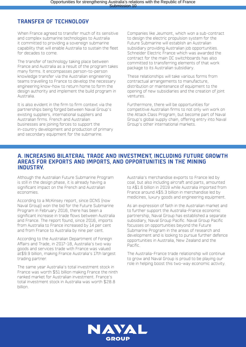#### **TRANSFER OF TECHNOLOGY**

When France agreed to transfer much of its sensitive and complex submarine technologies to Australia it committed to providing a sovereign submarine capability that will enable Australia to sustain the fleet for decades to come.

The transfer of technology taking place between France and Australia as a result of the program takes many forms. It encompasses person-to-person knowledge transfer via the Australian engineering teams travelling to France to develop the necessary engineering know-how to return home to form the design authority and implement the build program in Australia.

It is also evident in the firm to firm context via the partnerships being forged between Naval Group's existing suppliers, international suppliers and Australian firms. French and Australian businesses are joining forces to support the in-country development and production of primary and secondary equipment for the submarine.

Companies like Jeumont, which won a sub-contract to design the electric propulsion system for the Future Submarine will establish an Australian subsidiary providing Australian job opportunities. Schneider Electric France which was awarded the contract for the main DC switchboards has also committed to transferring elements of that work package to its Australian subsidiary.

These relationships will take various forms from contractual arrangements to manufacture, distribution or maintenance of equipment to the opening of new subsidiaries and the creation of joint ventures.

Furthermore, there will be opportunities for competitive Australian firms to not only win work on the Attack Class Program, but become part of Naval Group's global supply chain, offering entry into Naval Group's other international markets.

#### **A. INCREASING BILATERAL TRADE AND INVESTMENT, INCLUDING FUTURE GROWTH AREAS FOR EXPORTS AND IMPORTS, AND OPPORTUNITIES IN THE MINING INDUSTRY.**

Although the Australian Future Submarine Program is still in the design phase, it is already having a significant impact on the French and Australian economies.

According to a McKinsey report, since DCNS (now Naval Group) won the bid for the Future Submarine Program in February 2016, there has been a significant increase in trade flows between Australia and France. The report found, since 2016, imports from Australia to France increased by 14 per cent and from France to Australia by nine per cent.

According to the Australian Department of Foreign Affairs and Trade, in 2017-18, Australia's two way goods and services trade with France was valued at\$9.9 billion, making France Australia's 17th largest trading partner.

The same year Australia's total investment stock in France was worth \$51 billion making France the ninth ranked market for Australian investment. France's total investment stock in Australia was worth \$28.8 billion.

Australia's merchandise exports to France led by coal, but also including aircraft and parts, amounted to A\$1.6 billion in 2019 while Australia imported from France around A\$5.3 billion in merchandise led by medicines, luxury goods and engineering equipment.

As an expression of faith in the Australian market and to further support the Australia-France economic partnership, Naval Group has established a separate subsidiary, Naval Group Pacific. Naval Group Pacific focusses on opportunities beyond the Future Submarine Program in the areas of research and development and is looking to pursue further defence opportunities in Australia, New Zealand and the Pacific.

The Australia-France trade relationship will continue to grow and Naval Group is proud to be playing our role in helping boost this two-way economic activity.

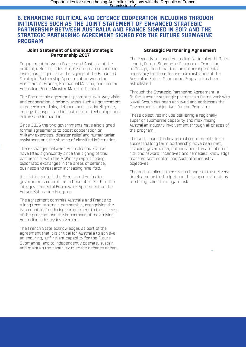#### **B. ENHANCING POLITICAL AND DEFENCE COOPERATION INCLUDING THROUGH INITIATIVES SUCH AS THE JOINT STATEMENT OF ENHANCED STRATEGIC PARTNERSHIP BETWEEN AUSTRALIA AND FRANCE SIGNED IN 2017 AND THE STRATEGIC PARTNERING AGREEMENT SIGNED FOR THE FUTURE SUBMARINE PROGRAM**

#### **Joint Statement of Enhanced Strategic Partnership 2017**

Engagement between France and Australia at the political, defence, industrial, research and economic levels has surged since the signing of the Enhanced Strategic Partnership Agreement between the President of France, Emmanuel Macron, and former Australian Prime Minister Malcolm Turnbull.

The Partnership agreement promotes two-way visits and cooperation in priority areas such as government to government links, defence, security, intelligence, energy, transport and infrastructure, technology and culture and innovation.

Since 2016 the two governments have also signed formal agreements to boost cooperation on military exercises, disaster relief and humanitarian assistance and the sharing of classified information.

The exchanges between Australia and France have lifted significantly since the signing of this partnership, with the McKinsey report finding diplomatic exchanges in the areas of defence, business and research increasing nine-fold.

It is in this context the French and Australian governments committed in December 2016 to the intergovernmental Framework Agreement on the Future Submarine Program.

The agreement commits Australia and France to a long term strategic partnership, recognising the two countries' enduring commitment to the success of the program and the importance of maximising Australian industry involvement.

The French State acknowledges as part of the agreement that it is critical for Australia to achieve an enduring, self-reliant capability for the Future Submarine, and to independently operate, sustain and maintain the capability over the decades ahead.

#### **Strategic Partnering Agreement**

The recently released Australian National Audit Office report, Future Submarine Program – Transition to Design, found that the formal arrangements necessary for the effective administration of the Australian Future Submarine Program has been established.

Through the Strategic Partnering Agreement, a fit-for-purpose strategic partnership framework with Naval Group has been achieved and addresses the Government's objectives for the Program.

These objectives include delivering a regionally superior submarine capability and maximising Australian industry involvement through all phases of the program.

The audit found the key formal requirements for a successful long term partnership have been met, including governance, collaboration, the allocation of risk and reward, incentives and remedies, knowledge transfer, cost control and Australian industry objectives.

The audit confirms there is no change to the delivery timeframe or the budget and that appropriate steps are being taken to mitigate risk.